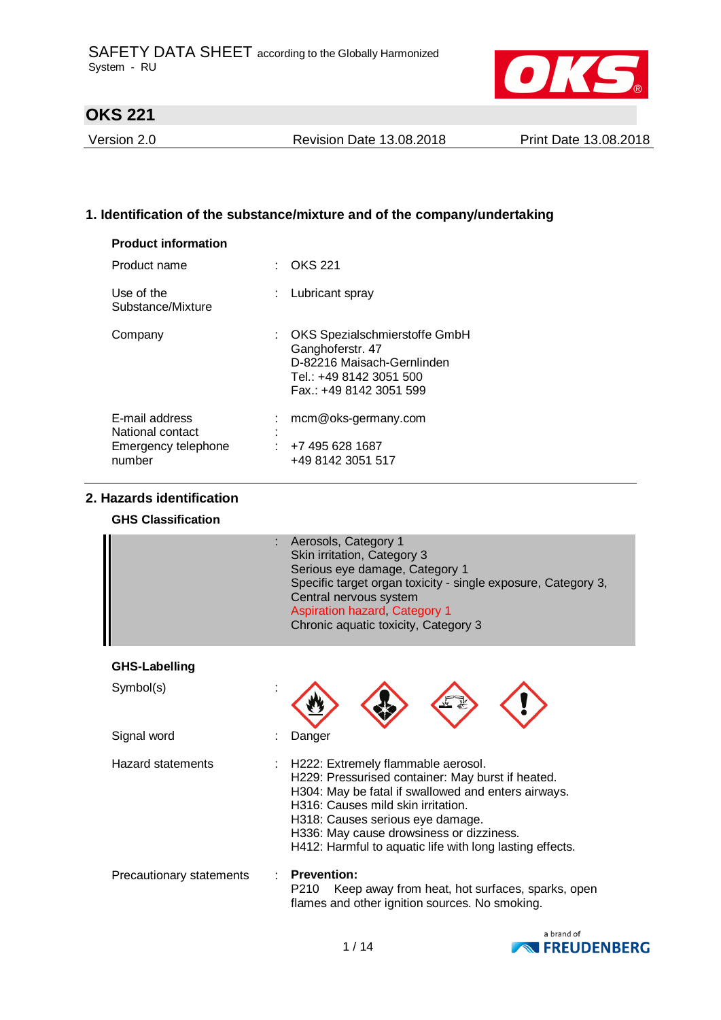

Version 2.0 Revision Date 13.08.2018 Print Date 13.08.2018

## **1. Identification of the substance/mixture and of the company/undertaking**

| <b>Product information</b>                                          |    |                                                                                                                                        |
|---------------------------------------------------------------------|----|----------------------------------------------------------------------------------------------------------------------------------------|
| Product name                                                        |    | <b>OKS 221</b>                                                                                                                         |
| Use of the<br>Substance/Mixture                                     | ÷. | Lubricant spray                                                                                                                        |
| Company                                                             |    | : OKS Spezialschmierstoffe GmbH<br>Ganghoferstr. 47<br>D-82216 Maisach-Gernlinden<br>Tel.: +49 8142 3051 500<br>Fax: +49 8142 3051 599 |
| E-mail address<br>National contact<br>Emergency telephone<br>number |    | mcm@oks-germany.com<br>$: +74956281687$<br>+49 8142 3051 517                                                                           |

# **2. Hazards identification**

## **GHS Classification**

|               | Aerosols, Category 1<br>Skin irritation, Category 3<br>Serious eye damage, Category 1<br>Specific target organ toxicity - single exposure, Category 3,<br>Central nervous system<br><b>Aspiration hazard, Category 1</b><br>Chronic aquatic toxicity, Category 3 |
|---------------|------------------------------------------------------------------------------------------------------------------------------------------------------------------------------------------------------------------------------------------------------------------|
| GHS-Labelling |                                                                                                                                                                                                                                                                  |

| Symbol(s)                |                                                                                                                                                                                                                                                                                                                                    |
|--------------------------|------------------------------------------------------------------------------------------------------------------------------------------------------------------------------------------------------------------------------------------------------------------------------------------------------------------------------------|
| Signal word              | Danger                                                                                                                                                                                                                                                                                                                             |
| Hazard statements        | : H222: Extremely flammable aerosol.<br>H229: Pressurised container: May burst if heated.<br>H304: May be fatal if swallowed and enters airways.<br>H316: Causes mild skin irritation.<br>H318: Causes serious eye damage.<br>H336: May cause drowsiness or dizziness.<br>H412: Harmful to aquatic life with long lasting effects. |
| Precautionary statements | <b>Prevention:</b><br>Keep away from heat, hot surfaces, sparks, open<br>P210<br>flames and other ignition sources. No smoking.                                                                                                                                                                                                    |

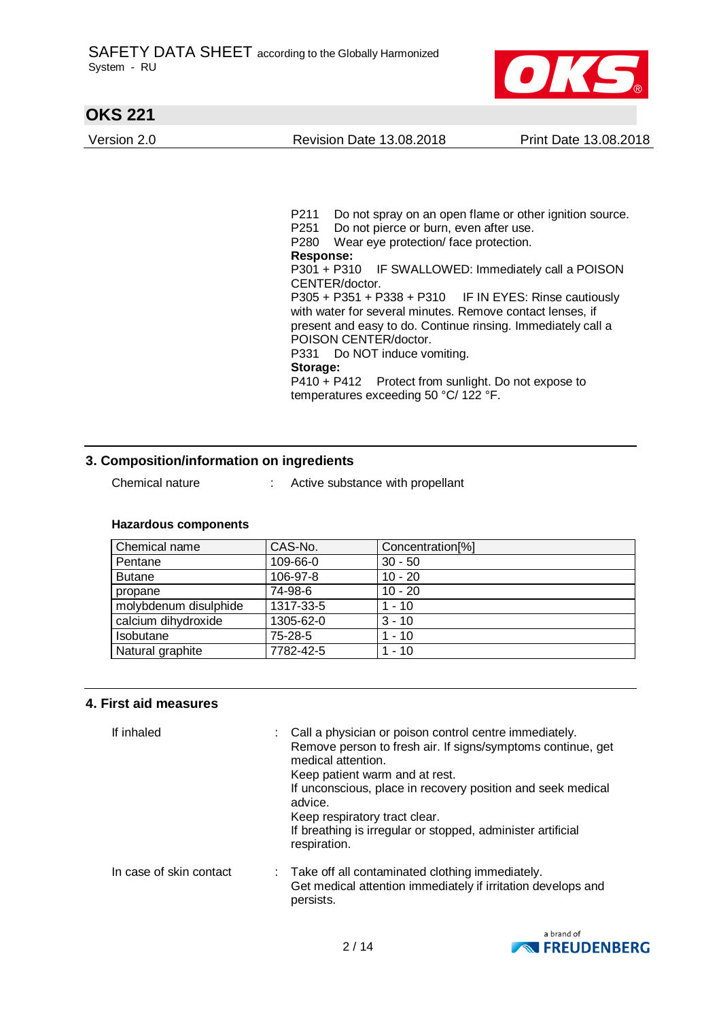

Version 2.0 Revision Date 13.08.2018 Print Date 13.08.2018



P211 Do not spray on an open flame or other ignition source. P251 Do not pierce or burn, even after use. P280 Wear eye protection/ face protection. **Response:**  P301 + P310 IF SWALLOWED: Immediately call a POISON CENTER/doctor. P305 + P351 + P338 + P310 IF IN EYES: Rinse cautiously with water for several minutes. Remove contact lenses, if present and easy to do. Continue rinsing. Immediately call a POISON CENTER/doctor. P331 Do NOT induce vomiting. **Storage:**  P410 + P412 Protect from sunlight. Do not expose to temperatures exceeding 50 °C/ 122 °F.

## **3. Composition/information on ingredients**

- 
- Chemical nature : Active substance with propellant

| Chemical name         | CAS-No.   | Concentration[%] |
|-----------------------|-----------|------------------|
| Pentane               | 109-66-0  | $30 - 50$        |
| <b>Butane</b>         | 106-97-8  | $10 - 20$        |
| propane               | 74-98-6   | $10 - 20$        |
| molybdenum disulphide | 1317-33-5 | $1 - 10$         |
| calcium dihydroxide   | 1305-62-0 | $3 - 10$         |
| Isobutane             | 75-28-5   | $1 - 10$         |
| Natural graphite      | 7782-42-5 | $1 - 10$         |

### **Hazardous components**

### **4. First aid measures**

| If inhaled              | : Call a physician or poison control centre immediately.<br>Remove person to fresh air. If signs/symptoms continue, get<br>medical attention.<br>Keep patient warm and at rest.<br>If unconscious, place in recovery position and seek medical<br>advice.<br>Keep respiratory tract clear.<br>If breathing is irregular or stopped, administer artificial<br>respiration. |
|-------------------------|---------------------------------------------------------------------------------------------------------------------------------------------------------------------------------------------------------------------------------------------------------------------------------------------------------------------------------------------------------------------------|
| In case of skin contact | : Take off all contaminated clothing immediately.<br>Get medical attention immediately if irritation develops and<br>persists.                                                                                                                                                                                                                                            |

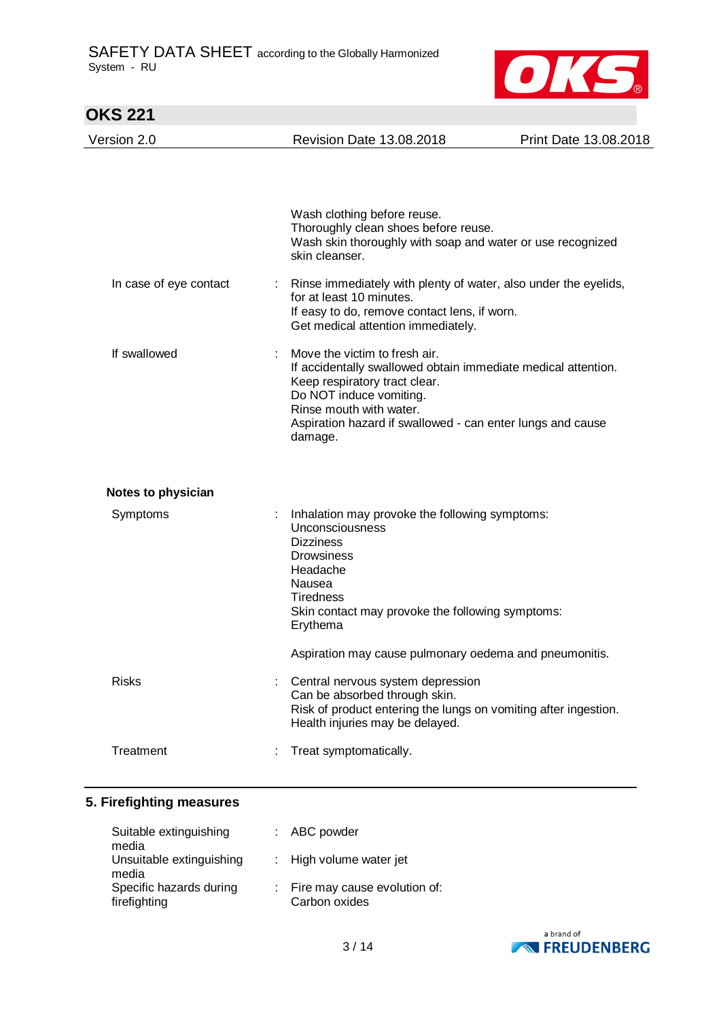

| <b>OKS 221</b>         |                                                                                                                                                                                                                                                                |                       |
|------------------------|----------------------------------------------------------------------------------------------------------------------------------------------------------------------------------------------------------------------------------------------------------------|-----------------------|
| Version 2.0            | <b>Revision Date 13.08.2018</b>                                                                                                                                                                                                                                | Print Date 13.08.2018 |
|                        |                                                                                                                                                                                                                                                                |                       |
|                        | Wash clothing before reuse.<br>Thoroughly clean shoes before reuse.<br>Wash skin thoroughly with soap and water or use recognized<br>skin cleanser.                                                                                                            |                       |
| In case of eye contact | Rinse immediately with plenty of water, also under the eyelids,<br>for at least 10 minutes.<br>If easy to do, remove contact lens, if worn.<br>Get medical attention immediately.                                                                              |                       |
| If swallowed           | Move the victim to fresh air.<br>If accidentally swallowed obtain immediate medical attention.<br>Keep respiratory tract clear.<br>Do NOT induce vomiting.<br>Rinse mouth with water.<br>Aspiration hazard if swallowed - can enter lungs and cause<br>damage. |                       |
| Notes to physician     |                                                                                                                                                                                                                                                                |                       |
| Symptoms               | Inhalation may provoke the following symptoms:<br>Unconsciousness<br><b>Dizziness</b><br><b>Drowsiness</b><br>Headache<br>Nausea<br>Tiredness<br>Skin contact may provoke the following symptoms:<br>Erythema                                                  |                       |
|                        | Aspiration may cause pulmonary oedema and pneumonitis.                                                                                                                                                                                                         |                       |
| <b>Risks</b>           | Central nervous system depression<br>Can be absorbed through skin.<br>Risk of product entering the lungs on vomiting after ingestion.<br>Health injuries may be delayed.                                                                                       |                       |
| Treatment              | Treat symptomatically.                                                                                                                                                                                                                                         |                       |

## **5. Firefighting measures**

| Suitable extinguishing<br>media                  | : ABC powder                                    |
|--------------------------------------------------|-------------------------------------------------|
| Unsuitable extinguishing                         | : High volume water jet                         |
| media<br>Specific hazards during<br>firefighting | : Fire may cause evolution of:<br>Carbon oxides |

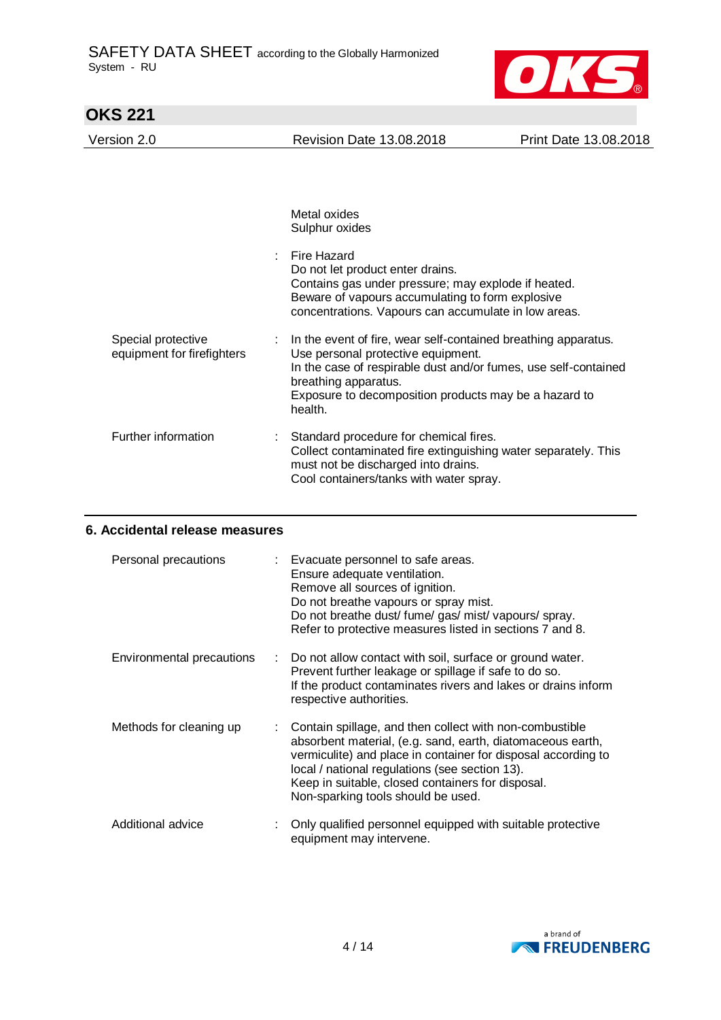

| <b>Revision Date 13.08.2018</b>                                                                                                                                                                                                                                     | Print Date 13.08.2018 |
|---------------------------------------------------------------------------------------------------------------------------------------------------------------------------------------------------------------------------------------------------------------------|-----------------------|
|                                                                                                                                                                                                                                                                     |                       |
|                                                                                                                                                                                                                                                                     |                       |
| Metal oxides<br>Sulphur oxides                                                                                                                                                                                                                                      |                       |
| Fire Hazard<br>Do not let product enter drains.<br>Contains gas under pressure; may explode if heated.<br>Beware of vapours accumulating to form explosive<br>concentrations. Vapours can accumulate in low areas.                                                  |                       |
| In the event of fire, wear self-contained breathing apparatus.<br>Use personal protective equipment.<br>In the case of respirable dust and/or fumes, use self-contained<br>breathing apparatus.<br>Exposure to decomposition products may be a hazard to<br>health. |                       |
| : Standard procedure for chemical fires.<br>Collect contaminated fire extinguishing water separately. This<br>must not be discharged into drains.<br>Cool containers/tanks with water spray.                                                                        |                       |
|                                                                                                                                                                                                                                                                     |                       |

## **6. Accidental release measures**

| Personal precautions      |    | Evacuate personnel to safe areas.<br>Ensure adequate ventilation.<br>Remove all sources of ignition.<br>Do not breathe vapours or spray mist.<br>Do not breathe dust/ fume/ gas/ mist/ vapours/ spray.<br>Refer to protective measures listed in sections 7 and 8.                                                                  |
|---------------------------|----|-------------------------------------------------------------------------------------------------------------------------------------------------------------------------------------------------------------------------------------------------------------------------------------------------------------------------------------|
| Environmental precautions | t. | Do not allow contact with soil, surface or ground water.<br>Prevent further leakage or spillage if safe to do so.<br>If the product contaminates rivers and lakes or drains inform<br>respective authorities.                                                                                                                       |
| Methods for cleaning up   |    | Contain spillage, and then collect with non-combustible<br>absorbent material, (e.g. sand, earth, diatomaceous earth,<br>vermiculite) and place in container for disposal according to<br>local / national regulations (see section 13).<br>Keep in suitable, closed containers for disposal.<br>Non-sparking tools should be used. |
| Additional advice         |    | Only qualified personnel equipped with suitable protective<br>equipment may intervene.                                                                                                                                                                                                                                              |

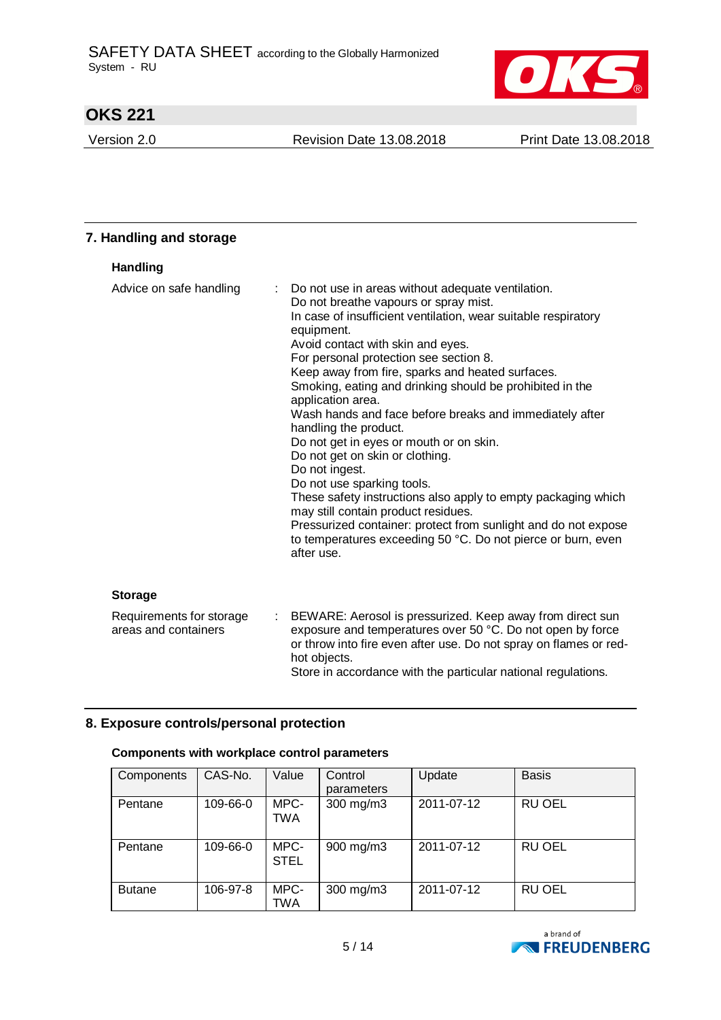

Version 2.0 Revision Date 13.08.2018 Print Date 13.08.2018

| 7. Handling and storage                          |   |                                                                                                                                                                                                                                                                                                                                                                                                                                                                                                                                                                                                                                                                                                                                                                                                                                                                          |
|--------------------------------------------------|---|--------------------------------------------------------------------------------------------------------------------------------------------------------------------------------------------------------------------------------------------------------------------------------------------------------------------------------------------------------------------------------------------------------------------------------------------------------------------------------------------------------------------------------------------------------------------------------------------------------------------------------------------------------------------------------------------------------------------------------------------------------------------------------------------------------------------------------------------------------------------------|
| <b>Handling</b>                                  |   |                                                                                                                                                                                                                                                                                                                                                                                                                                                                                                                                                                                                                                                                                                                                                                                                                                                                          |
| Advice on safe handling                          | ÷ | Do not use in areas without adequate ventilation.<br>Do not breathe vapours or spray mist.<br>In case of insufficient ventilation, wear suitable respiratory<br>equipment.<br>Avoid contact with skin and eyes.<br>For personal protection see section 8.<br>Keep away from fire, sparks and heated surfaces.<br>Smoking, eating and drinking should be prohibited in the<br>application area.<br>Wash hands and face before breaks and immediately after<br>handling the product.<br>Do not get in eyes or mouth or on skin.<br>Do not get on skin or clothing.<br>Do not ingest.<br>Do not use sparking tools.<br>These safety instructions also apply to empty packaging which<br>may still contain product residues.<br>Pressurized container: protect from sunlight and do not expose<br>to temperatures exceeding 50 °C. Do not pierce or burn, even<br>after use. |
| <b>Storage</b>                                   |   |                                                                                                                                                                                                                                                                                                                                                                                                                                                                                                                                                                                                                                                                                                                                                                                                                                                                          |
| Requirements for storage<br>areas and containers |   | : BEWARE: Aerosol is pressurized. Keep away from direct sun<br>exposure and temperatures over 50 °C. Do not open by force<br>or throw into fire even after use. Do not spray on flames or red-                                                                                                                                                                                                                                                                                                                                                                                                                                                                                                                                                                                                                                                                           |

hot objects.

**8. Exposure controls/personal protection**

## **Components with workplace control parameters**

| Components    | CAS-No.  | Value               | Control<br>parameters | Update     | <b>Basis</b>  |
|---------------|----------|---------------------|-----------------------|------------|---------------|
| Pentane       | 109-66-0 | MPC-<br>TWA         | 300 mg/m3             | 2011-07-12 | <b>RU OEL</b> |
| Pentane       | 109-66-0 | MPC-<br><b>STEL</b> | 900 mg/m3             | 2011-07-12 | <b>RU OEL</b> |
| <b>Butane</b> | 106-97-8 | MPC-<br>TWA         | 300 mg/m3             | 2011-07-12 | <b>RU OEL</b> |

Store in accordance with the particular national regulations.

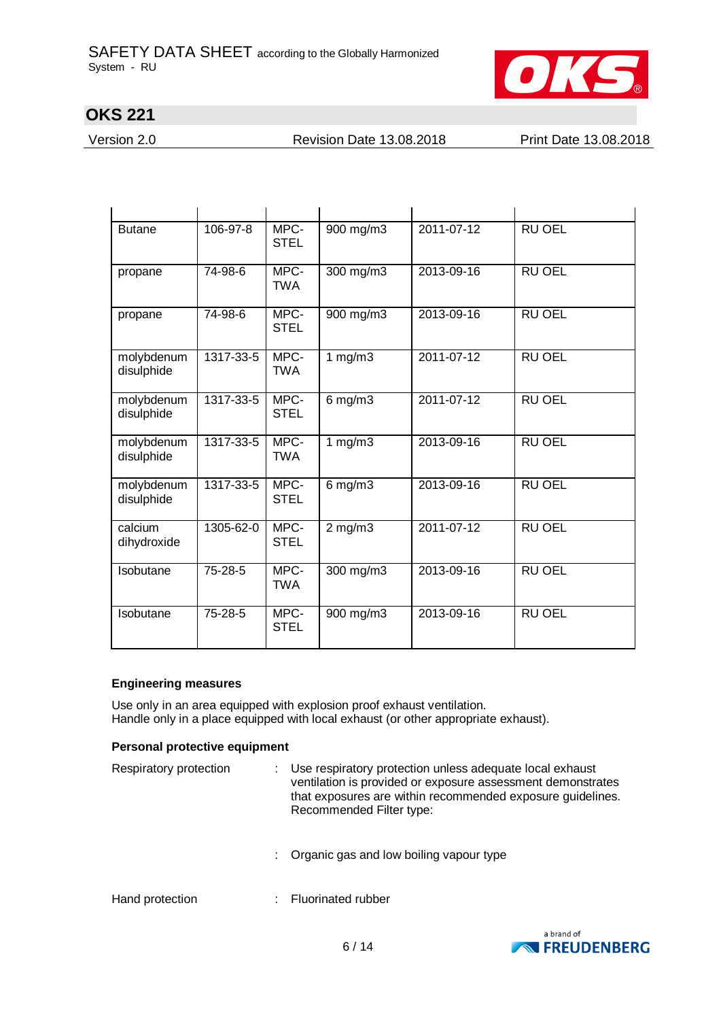

Version 2.0 Revision Date 13.08.2018 Print Date 13.08.2018

| <b>Butane</b>            | 106-97-8  | MPC-<br><b>STEL</b> | 900 mg/m3    | 2011-07-12 | <b>RU OEL</b> |
|--------------------------|-----------|---------------------|--------------|------------|---------------|
| propane                  | 74-98-6   | MPC-<br><b>TWA</b>  | 300 mg/m3    | 2013-09-16 | <b>RU OEL</b> |
| propane                  | 74-98-6   | MPC-<br><b>STEL</b> | 900 mg/m3    | 2013-09-16 | <b>RU OEL</b> |
| molybdenum<br>disulphide | 1317-33-5 | MPC-<br><b>TWA</b>  | 1 $mg/m3$    | 2011-07-12 | <b>RU OEL</b> |
| molybdenum<br>disulphide | 1317-33-5 | MPC-<br><b>STEL</b> | $6$ mg/m $3$ | 2011-07-12 | <b>RU OEL</b> |
| molybdenum<br>disulphide | 1317-33-5 | MPC-<br><b>TWA</b>  | 1 $mg/m3$    | 2013-09-16 | <b>RU OEL</b> |
| molybdenum<br>disulphide | 1317-33-5 | MPC-<br><b>STEL</b> | $6$ mg/m $3$ | 2013-09-16 | <b>RU OEL</b> |
| calcium<br>dihydroxide   | 1305-62-0 | MPC-<br><b>STEL</b> | $2$ mg/m $3$ | 2011-07-12 | <b>RU OEL</b> |
| Isobutane                | 75-28-5   | MPC-<br><b>TWA</b>  | 300 mg/m3    | 2013-09-16 | <b>RU OEL</b> |
| Isobutane                | 75-28-5   | MPC-<br><b>STEL</b> | 900 mg/m3    | 2013-09-16 | <b>RU OEL</b> |

### **Engineering measures**

Use only in an area equipped with explosion proof exhaust ventilation. Handle only in a place equipped with local exhaust (or other appropriate exhaust).

### **Personal protective equipment**

| Respiratory protection | Use respiratory protection unless adequate local exhaust<br>ventilation is provided or exposure assessment demonstrates<br>that exposures are within recommended exposure guidelines.<br>Recommended Filter type: |
|------------------------|-------------------------------------------------------------------------------------------------------------------------------------------------------------------------------------------------------------------|
|                        | : Organic gas and low boiling vapour type                                                                                                                                                                         |
| Hand protection        | Fluorinated rubber                                                                                                                                                                                                |

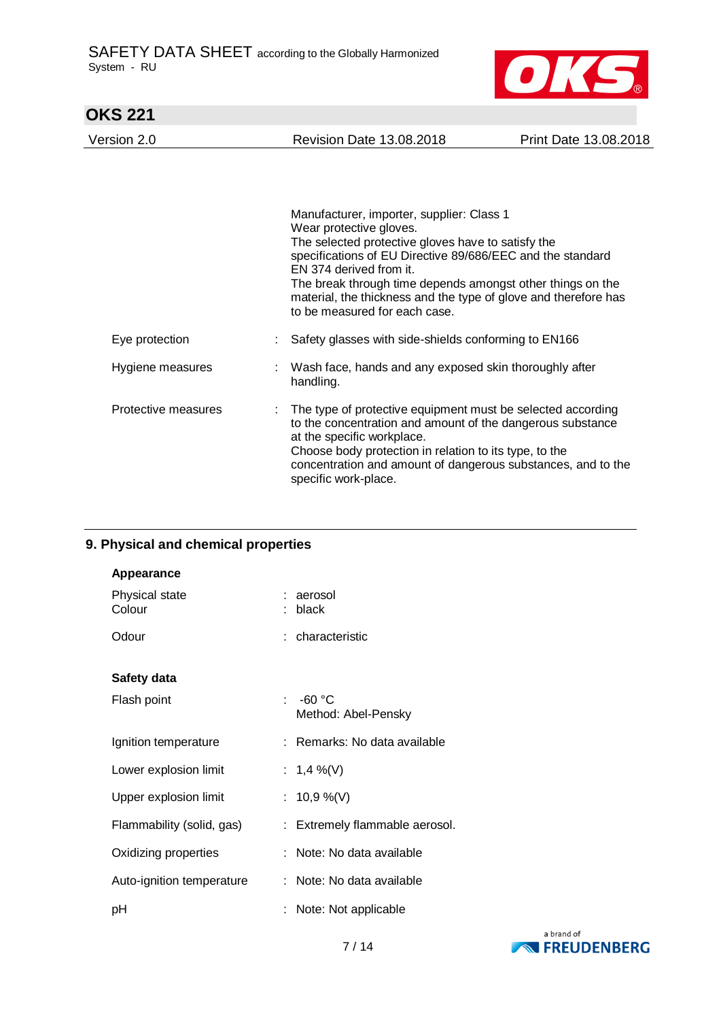

| <b>OKS 221</b>      |                                                                                                                                                                                                                                                                                                                                                                                       |                       |
|---------------------|---------------------------------------------------------------------------------------------------------------------------------------------------------------------------------------------------------------------------------------------------------------------------------------------------------------------------------------------------------------------------------------|-----------------------|
| Version 2.0         | <b>Revision Date 13.08.2018</b>                                                                                                                                                                                                                                                                                                                                                       | Print Date 13.08.2018 |
|                     |                                                                                                                                                                                                                                                                                                                                                                                       |                       |
|                     | Manufacturer, importer, supplier: Class 1<br>Wear protective gloves.<br>The selected protective gloves have to satisfy the<br>specifications of EU Directive 89/686/EEC and the standard<br>EN 374 derived from it.<br>The break through time depends amongst other things on the<br>material, the thickness and the type of glove and therefore has<br>to be measured for each case. |                       |
| Eye protection      | Safety glasses with side-shields conforming to EN166                                                                                                                                                                                                                                                                                                                                  |                       |
| Hygiene measures    | Wash face, hands and any exposed skin thoroughly after<br>handling.                                                                                                                                                                                                                                                                                                                   |                       |
| Protective measures | The type of protective equipment must be selected according<br>to the concentration and amount of the dangerous substance<br>at the specific workplace.<br>Choose body protection in relation to its type, to the<br>concentration and amount of dangerous substances, and to the<br>specific work-place.                                                                             |                       |

# **9. Physical and chemical properties**

| Appearance                |                                   |
|---------------------------|-----------------------------------|
| Physical state<br>Colour  | : aerosol<br>: black              |
| Odour                     | : characteristic                  |
| Safety data               |                                   |
| Flash point               | : $-60 °C$<br>Method: Abel-Pensky |
| Ignition temperature      | : Remarks: No data available      |
| Lower explosion limit     | : 1,4 %(V)                        |
| Upper explosion limit     | : $10,9\%$ (V)                    |
| Flammability (solid, gas) | : Extremely flammable aerosol.    |
| Oxidizing properties      | : Note: No data available         |
| Auto-ignition temperature | : Note: No data available         |
| pH                        | : Note: Not applicable            |

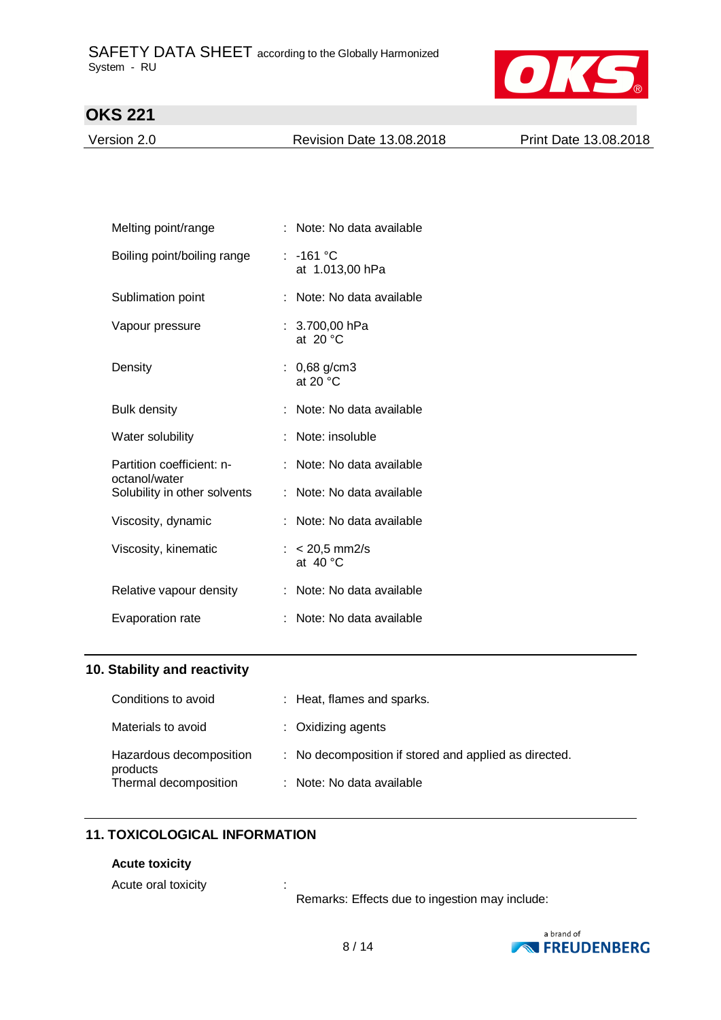

Version 2.0 Revision Date 13.08.2018 Print Date 13.08.2018

| Melting point/range                        | Note: No data available               |
|--------------------------------------------|---------------------------------------|
| Boiling point/boiling range                | : -161 °C<br>at 1.013,00 hPa          |
| Sublimation point                          | Note: No data available               |
| Vapour pressure                            | : $3.700,00$ hPa<br>at 20 $\degree$ C |
| Density                                    | : $0,68$ g/cm3<br>at 20 $\degree$ C   |
| <b>Bulk density</b>                        | : Note: No data available             |
| Water solubility                           | Note: insoluble                       |
| Partition coefficient: n-<br>octanol/water | Note: No data available               |
| Solubility in other solvents               | : Note: No data available             |
| Viscosity, dynamic                         | : Note: No data available             |
| Viscosity, kinematic                       | : $< 20.5$ mm2/s<br>at $40^{\circ}$ C |
| Relative vapour density                    | Note: No data available               |
| Evaporation rate                           | Note: No data available               |

### **10. Stability and reactivity**

| Conditions to avoid                 | : Heat, flames and sparks.                            |
|-------------------------------------|-------------------------------------------------------|
| Materials to avoid                  | $:$ Oxidizing agents                                  |
| Hazardous decomposition<br>products | : No decomposition if stored and applied as directed. |
| Thermal decomposition               | : Note: No data available                             |

## **11. TOXICOLOGICAL INFORMATION**

#### **Acute toxicity**

Acute oral toxicity in the set of the set of the set of the set of the set of the set of the set of the set of the set of the set of the set of the set of the set of the set of the set of the set of the set of the set of t

Remarks: Effects due to ingestion may include:

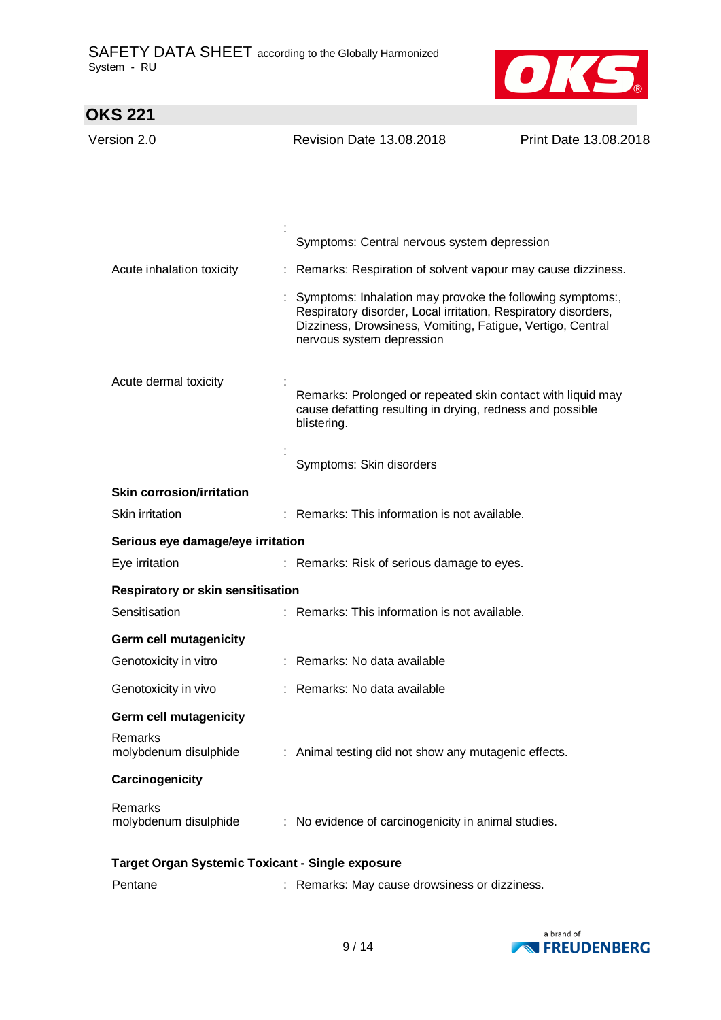

| <b>OKS 221</b>                                          |                                                                                                                                                                                                                        |                                                             |
|---------------------------------------------------------|------------------------------------------------------------------------------------------------------------------------------------------------------------------------------------------------------------------------|-------------------------------------------------------------|
| Version 2.0                                             | <b>Revision Date 13.08.2018</b>                                                                                                                                                                                        | Print Date 13.08.2018                                       |
|                                                         |                                                                                                                                                                                                                        |                                                             |
|                                                         |                                                                                                                                                                                                                        |                                                             |
|                                                         |                                                                                                                                                                                                                        |                                                             |
|                                                         | Symptoms: Central nervous system depression                                                                                                                                                                            |                                                             |
| Acute inhalation toxicity                               |                                                                                                                                                                                                                        | Remarks: Respiration of solvent vapour may cause dizziness. |
|                                                         | Symptoms: Inhalation may provoke the following symptoms:,<br>Respiratory disorder, Local irritation, Respiratory disorders,<br>Dizziness, Drowsiness, Vomiting, Fatigue, Vertigo, Central<br>nervous system depression |                                                             |
| Acute dermal toxicity                                   | cause defatting resulting in drying, redness and possible<br>blistering.                                                                                                                                               | Remarks: Prolonged or repeated skin contact with liquid may |
|                                                         | Symptoms: Skin disorders                                                                                                                                                                                               |                                                             |
| <b>Skin corrosion/irritation</b>                        |                                                                                                                                                                                                                        |                                                             |
| Skin irritation                                         | : Remarks: This information is not available.                                                                                                                                                                          |                                                             |
| Serious eye damage/eye irritation                       |                                                                                                                                                                                                                        |                                                             |
| Eye irritation                                          | : Remarks: Risk of serious damage to eyes.                                                                                                                                                                             |                                                             |
| Respiratory or skin sensitisation                       |                                                                                                                                                                                                                        |                                                             |
| Sensitisation                                           | : Remarks: This information is not available.                                                                                                                                                                          |                                                             |
| Germ cell mutagenicity                                  |                                                                                                                                                                                                                        |                                                             |
| Genotoxicity in vitro                                   | : Remarks: No data available                                                                                                                                                                                           |                                                             |
| Genotoxicity in vivo                                    | : Remarks: No data available                                                                                                                                                                                           |                                                             |
| <b>Germ cell mutagenicity</b>                           |                                                                                                                                                                                                                        |                                                             |
| Remarks<br>molybdenum disulphide                        | : Animal testing did not show any mutagenic effects.                                                                                                                                                                   |                                                             |
| Carcinogenicity                                         |                                                                                                                                                                                                                        |                                                             |
| Remarks<br>molybdenum disulphide                        | : No evidence of carcinogenicity in animal studies.                                                                                                                                                                    |                                                             |
| <b>Target Organ Systemic Toxicant - Single exposure</b> |                                                                                                                                                                                                                        |                                                             |
| Pentane                                                 | Remarks: May cause drowsiness or dizziness.                                                                                                                                                                            |                                                             |

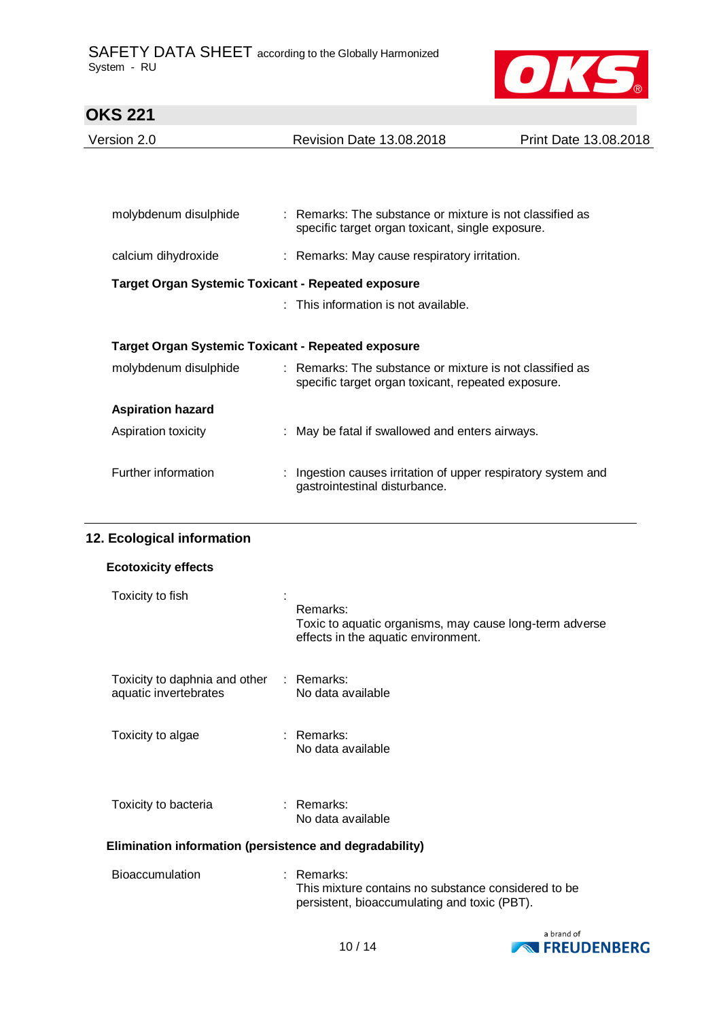

| <b>OKS 221</b>           |                                                                                                                |                       |
|--------------------------|----------------------------------------------------------------------------------------------------------------|-----------------------|
| Version 2.0              | <b>Revision Date 13.08.2018</b>                                                                                | Print Date 13.08.2018 |
|                          |                                                                                                                |                       |
|                          |                                                                                                                |                       |
| molybdenum disulphide    | : Remarks: The substance or mixture is not classified as<br>specific target organ toxicant, single exposure.   |                       |
| calcium dihydroxide      | : Remarks: May cause respiratory irritation.                                                                   |                       |
|                          | <b>Target Organ Systemic Toxicant - Repeated exposure</b>                                                      |                       |
|                          | $:$ This information is not available.                                                                         |                       |
|                          | <b>Target Organ Systemic Toxicant - Repeated exposure</b>                                                      |                       |
| molybdenum disulphide    | : Remarks: The substance or mixture is not classified as<br>specific target organ toxicant, repeated exposure. |                       |
| <b>Aspiration hazard</b> |                                                                                                                |                       |
| Aspiration toxicity      | : May be fatal if swallowed and enters airways.                                                                |                       |
| Further information      | Ingestion causes irritation of upper respiratory system and<br>gastrointestinal disturbance.                   |                       |
|                          |                                                                                                                |                       |

# **12. Ecological information**

| <b>Ecotoxicity effects</b>                                        |                                                                                                                     |  |  |  |
|-------------------------------------------------------------------|---------------------------------------------------------------------------------------------------------------------|--|--|--|
| Toxicity to fish                                                  | Remarks:<br>Toxic to aquatic organisms, may cause long-term adverse<br>effects in the aquatic environment.          |  |  |  |
| Toxicity to daphnia and other : Remarks:<br>aquatic invertebrates | No data available                                                                                                   |  |  |  |
| Toxicity to algae                                                 | : Remarks:<br>No data available                                                                                     |  |  |  |
| Toxicity to bacteria                                              | : Remarks:<br>No data available                                                                                     |  |  |  |
| Elimination information (persistence and degradability)           |                                                                                                                     |  |  |  |
| <b>Bioaccumulation</b>                                            | $:$ Remarks:<br>This mixture contains no substance considered to be<br>persistent, bioaccumulating and toxic (PBT). |  |  |  |

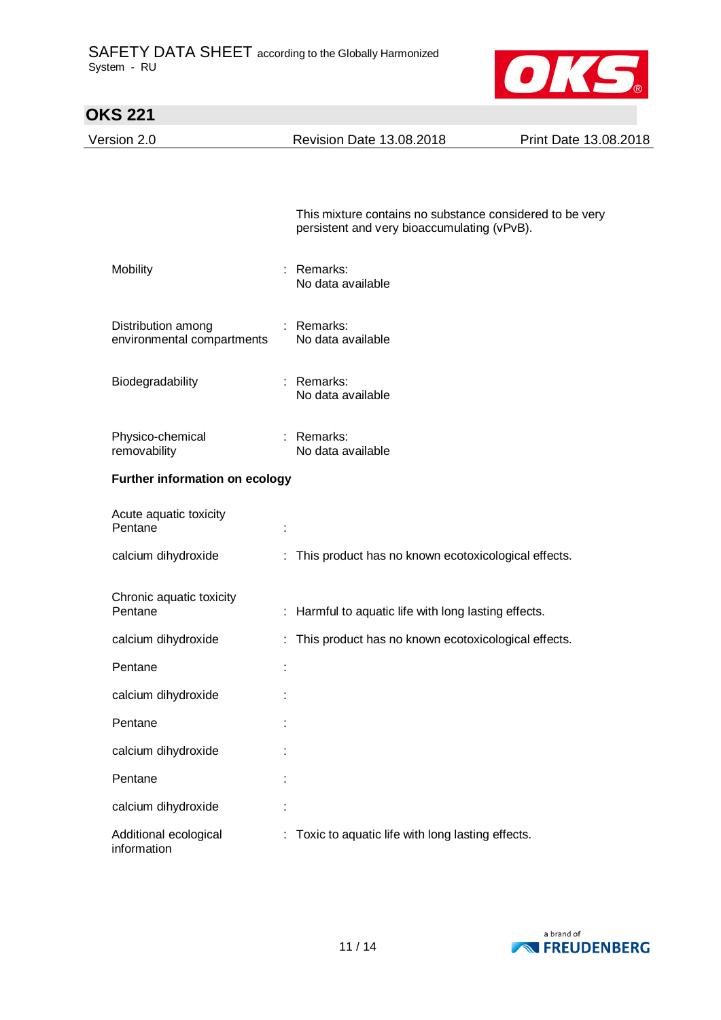

| <b>OKS 221</b>                                   |                                                                                                         |                       |
|--------------------------------------------------|---------------------------------------------------------------------------------------------------------|-----------------------|
| Version 2.0                                      | Revision Date 13.08.2018                                                                                | Print Date 13.08.2018 |
|                                                  |                                                                                                         |                       |
|                                                  |                                                                                                         |                       |
|                                                  | This mixture contains no substance considered to be very<br>persistent and very bioaccumulating (vPvB). |                       |
| Mobility                                         | : Remarks:<br>No data available                                                                         |                       |
| Distribution among<br>environmental compartments | : Remarks:<br>No data available                                                                         |                       |
| Biodegradability                                 | : Remarks:<br>No data available                                                                         |                       |
| Physico-chemical<br>removability                 | : Remarks:<br>No data available                                                                         |                       |
| Further information on ecology                   |                                                                                                         |                       |
| Acute aquatic toxicity<br>Pentane                |                                                                                                         |                       |
| calcium dihydroxide                              | : This product has no known ecotoxicological effects.                                                   |                       |
| Chronic aquatic toxicity<br>Pentane              | : Harmful to aquatic life with long lasting effects.                                                    |                       |
| calcium dihydroxide                              | : This product has no known ecotoxicological effects.                                                   |                       |
| Pentane                                          |                                                                                                         |                       |
| calcium dihydroxide                              |                                                                                                         |                       |
| Pentane                                          |                                                                                                         |                       |
| calcium dihydroxide                              |                                                                                                         |                       |
| Pentane                                          |                                                                                                         |                       |
| calcium dihydroxide                              |                                                                                                         |                       |
| Additional ecological<br>information             | : Toxic to aquatic life with long lasting effects.                                                      |                       |



11 / 14

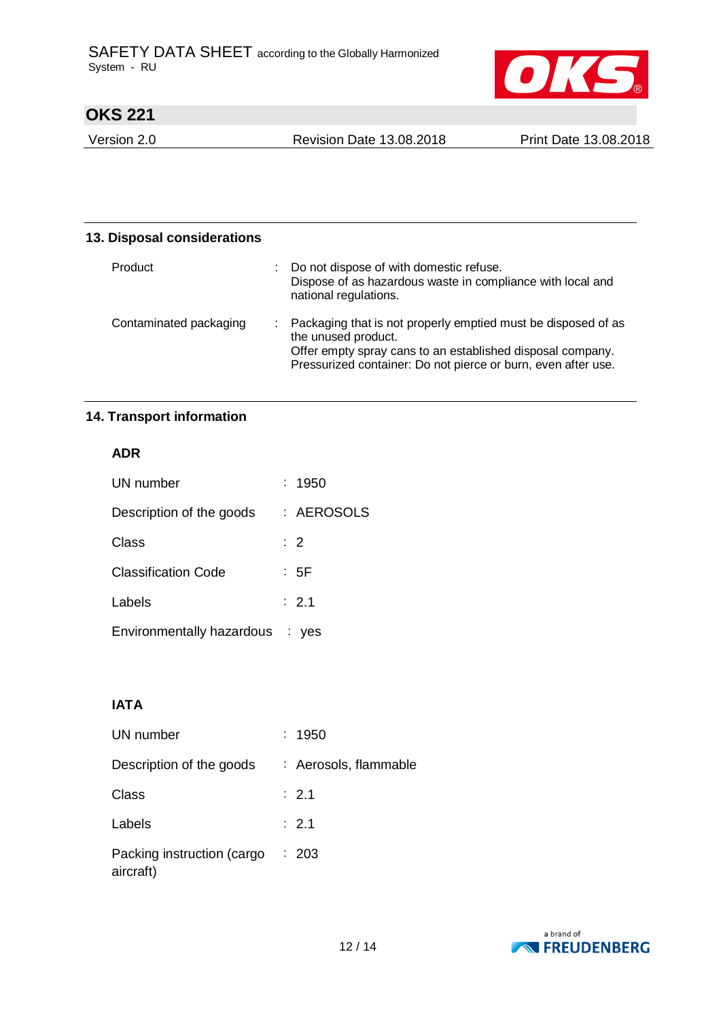

Version 2.0 Revision Date 13.08.2018 Print Date 13.08.2018

| 13. Disposal considerations |                                                                                                                                                                                                                       |  |
|-----------------------------|-----------------------------------------------------------------------------------------------------------------------------------------------------------------------------------------------------------------------|--|
| Product                     | Do not dispose of with domestic refuse.<br>Dispose of as hazardous waste in compliance with local and<br>national regulations.                                                                                        |  |
| Contaminated packaging      | : Packaging that is not properly emptied must be disposed of as<br>the unused product.<br>Offer empty spray cans to an established disposal company.<br>Pressurized container: Do not pierce or burn, even after use. |  |

# **14. Transport information**

## **ADR**

| UN number                       | : 1950         |
|---------------------------------|----------------|
| Description of the goods        | : AEROSOLS     |
| Class                           | $\therefore$ 2 |
| <b>Classification Code</b>      | : 5F           |
| Labels                          | : 2.1          |
| Environmentally hazardous : yes |                |

# **IATA**

| UN number                               | : 1950                |
|-----------------------------------------|-----------------------|
| Description of the goods                | : Aerosols, flammable |
| Class                                   | $\therefore$ 2.1      |
| Labels                                  | : 2.1                 |
| Packing instruction (cargo<br>aircraft) | : 203                 |

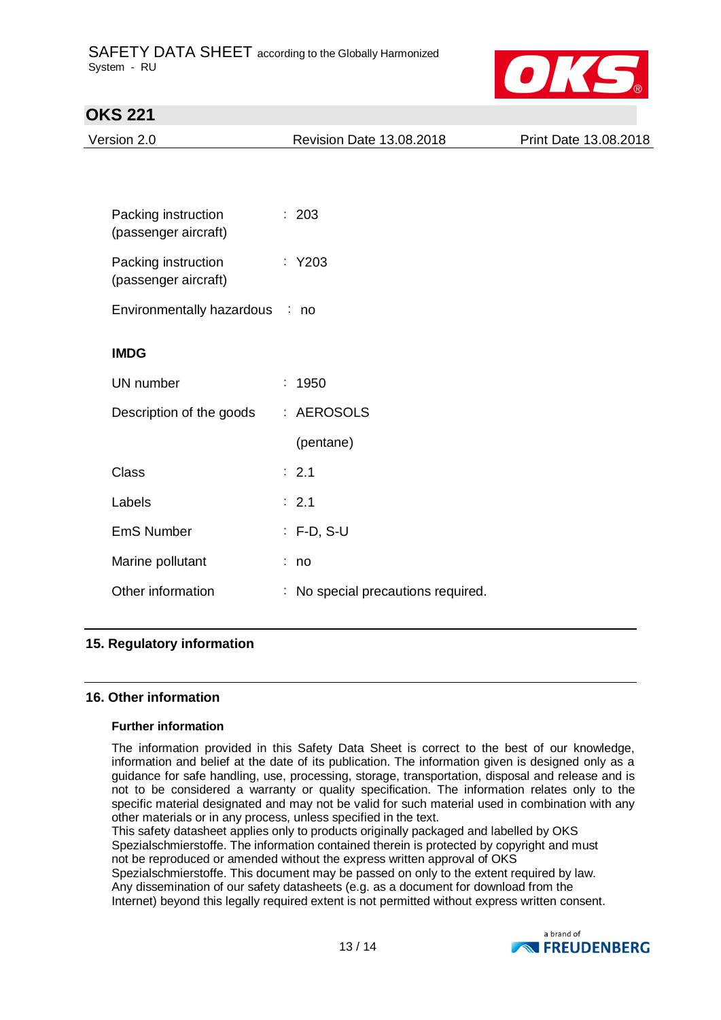

| Version 2.0                                 | Revision Date 13.08.2018           | Print Date 13.08.2018 |
|---------------------------------------------|------------------------------------|-----------------------|
|                                             |                                    |                       |
|                                             |                                    |                       |
| Packing instruction<br>(passenger aircraft) | : 203                              |                       |
| Packing instruction<br>(passenger aircraft) | $:$ Y203                           |                       |
| Environmentally hazardous                   | : no                               |                       |
| <b>IMDG</b>                                 |                                    |                       |
| UN number                                   | t.<br>1950                         |                       |
| Description of the goods                    | : AEROSOLS                         |                       |
|                                             | (pentane)                          |                       |
| <b>Class</b>                                | : 2.1                              |                       |
| Labels                                      | : 2.1                              |                       |
| <b>EmS Number</b>                           | $: F-D, S-U$                       |                       |
| Marine pollutant                            | : no                               |                       |
| Other information                           | : No special precautions required. |                       |

# **16. Other information**

### **Further information**

The information provided in this Safety Data Sheet is correct to the best of our knowledge, information and belief at the date of its publication. The information given is designed only as a guidance for safe handling, use, processing, storage, transportation, disposal and release and is not to be considered a warranty or quality specification. The information relates only to the specific material designated and may not be valid for such material used in combination with any other materials or in any process, unless specified in the text.

This safety datasheet applies only to products originally packaged and labelled by OKS Spezialschmierstoffe. The information contained therein is protected by copyright and must not be reproduced or amended without the express written approval of OKS

Spezialschmierstoffe. This document may be passed on only to the extent required by law. Any dissemination of our safety datasheets (e.g. as a document for download from the Internet) beyond this legally required extent is not permitted without express written consent.